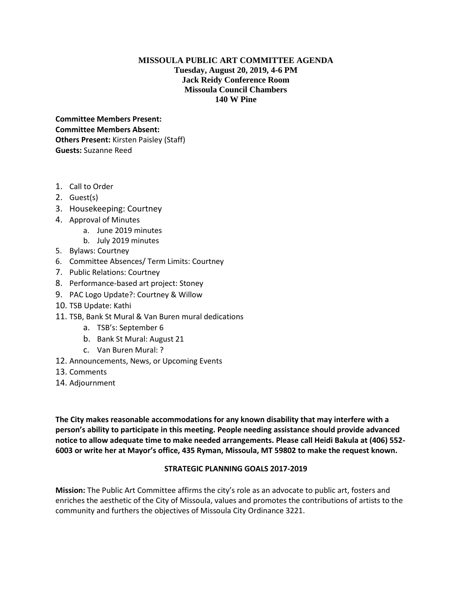## **MISSOULA PUBLIC ART COMMITTEE AGENDA Tuesday, August 20, 2019, 4-6 PM Jack Reidy Conference Room Missoula Council Chambers 140 W Pine**

**Committee Members Present: Committee Members Absent: Others Present:** Kirsten Paisley (Staff) **Guests:** Suzanne Reed

- 1. Call to Order
- 2. Guest(s)
- 3. Housekeeping: Courtney
- 4. Approval of Minutes
	- a. June 2019 minutes
	- b. July 2019 minutes
- 5. Bylaws: Courtney
- 6. Committee Absences/ Term Limits: Courtney
- 7. Public Relations: Courtney
- 8. Performance-based art project: Stoney
- 9. PAC Logo Update?: Courtney & Willow
- 10. TSB Update: Kathi
- 11. TSB, Bank St Mural & Van Buren mural dedications
	- a. TSB's: September 6
	- b. Bank St Mural: August 21
	- c. Van Buren Mural: ?
- 12. Announcements, News, or Upcoming Events
- 13. Comments
- 14. Adjournment

**The City makes reasonable accommodations for any known disability that may interfere with a person's ability to participate in this meeting. People needing assistance should provide advanced notice to allow adequate time to make needed arrangements. Please call Heidi Bakula at (406) 552- 6003 or write her at Mayor's office, 435 Ryman, Missoula, MT 59802 to make the request known.** 

## **STRATEGIC PLANNING GOALS 2017-2019**

**Mission:** The Public Art Committee affirms the city's role as an advocate to public art, fosters and enriches the aesthetic of the City of Missoula, values and promotes the contributions of artists to the community and furthers the objectives of Missoula City Ordinance 3221.